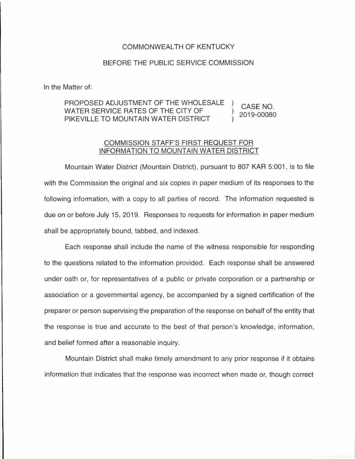## COMMONWEALTH OF KENTUCKY

## BEFORE THE PUBLIC SERVICE COMMISSION

In the Matter of:

## PROPOSED ADJUSTMENT OF THE WHOLESALE WATER SERVICE RATES OF THE CITY OF PIKEVILLE TO MOUNTAIN WATER DISTRICT CASE NO. 2019-00080

## COMMISSION STAFF'S FIRST REQUEST FOR INFORMATION TO MOUNTAIN WATER DISTRICT

Mountain Water District (Mountain District), pursuant to 807 KAR 5:001, is to file with the Commission the original and six copies in paper medium of its responses to the following information, with a copy to all parties of record. The information requested is due on or before July 15, 2019. Responses to requests for information in paper medium shall be appropriately bound, tabbed, and indexed.

Each response shall include the name of the witness responsible for responding to the questions related to the information provided. Each response shall be answered under oath or, for representatives of a public or private corporation or a partnership or association or a governmental agency, be accompanied by a signed certification of the preparer or person supervising the preparation of the response on behalf of the entity that the response is true and accurate to the best of that person's knowledge, information, and belief formed after a reasonable inquiry.

Mountain District shall make timely amendment to any prior response if it obtains information that indicates that the response was incorrect when made or, though correct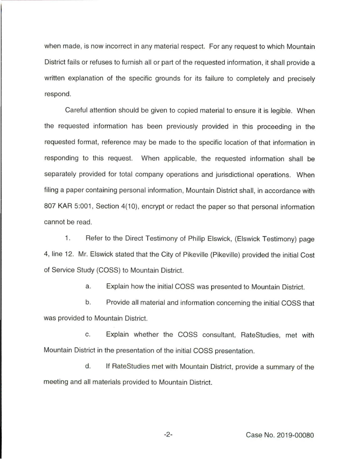when made, is now incorrect in any material respect. For any request to which Mountain District fails or refuses to furnish all or part of the requested information, it shall provide a written explanation of the specific grounds for its failure to completely and precisely respond.

Careful attention should be given to copied material to ensure it is legible. When the requested information has been previously provided in this proceeding in the requested format, reference may be made to the specific location of that information in responding to this request. When applicable, the requested information shall be separately provided for total company operations and jurisdictional operations. When filing a paper containing personal information, Mountain District shall, in accordance with 807 KAR 5:001, Section 4(10), encrypt or redact the paper so that personal information cannot be read.

1. Refer to the Direct Testimony of Philip Elswick, (Elswick Testimony) page 4, line 12. Mr. Elswick stated that the City of Pikeville (Pikeville) provided the initial Cost of Service Study (COSS) to Mountain District.

a. Explain how the initial COSS was presented to Mountain District.

b. Provide all material and information concerning the initial COSS that was provided to Mountain District.

c. Explain whether the COSS consultant, RateStudies, met with Mountain District in the presentation of the initial COSS presentation.

d. If RateStudies met with Mountain District, provide a summary of the meeting and all materials provided to Mountain District.

-2- Case No. 2019-00080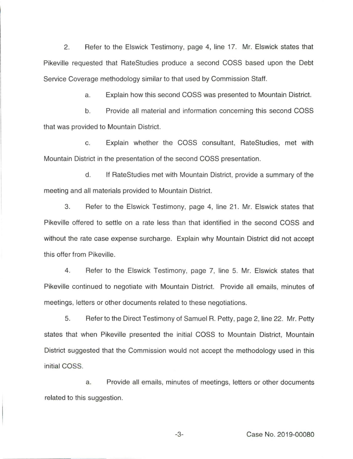2. Refer to the Elswick Testimony, page 4, line 17. Mr. Elswick states that Pikeville requested that RateStudies produce a second COSS based upon the Debt Service Coverage methodology similar to that used by Commission Staff.

a. Explain how this second COSS was presented to Mountain District.

b. Provide all material and information concerning this second COSS that was provided to Mountain District.

c. Explain whether the COSS consultant, RateStudies, met with Mountain District in the presentation of the second COSS presentation.

d. If RateStudies met with Mountain District, provide a summary of the meeting and all materials provided to Mountain District.

3. Refer to the Elswick Testimony, page 4, line 21 . Mr. Elswick states that Pikeville offered to settle on a rate less than that identified in the second COSS and without the rate case expense surcharge. Explain why Mountain District did not accept this offer from Pikeville.

4. Refer to the Elswick Testimony, page 7, line 5. Mr. Elswick states that Pikeville continued to negotiate with Mountain District. Provide all emails, minutes of meetings, letters or other documents related to these negotiations.

5. Refer to the Direct Testimony of Samuel R. Petty, page 2, line 22. Mr. Petty states that when Pikeville presented the initial COSS to Mountain District, Mountain District suggested that the Commission would not accept the methodology used in this initial COSS.

a. Provide all emails, minutes of meetings, letters or other documents related to this suggestion.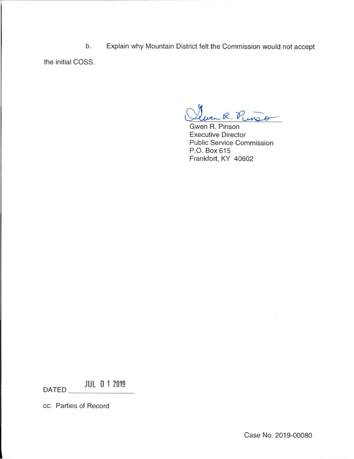b. Explain why Mountain District felt the Commission would not accept

the initial COSS.

. R. Punso

Gwen R. Pinson Executive Director Public Service Commission P.O. Box 615 Frankfort, KY 40602

**JUL 0 1 2019** DATED

cc: Parties of Record